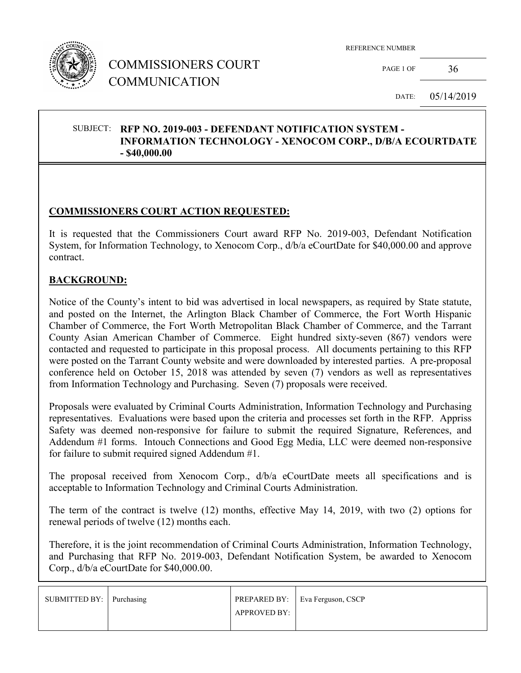

PAGE 1 OF  $36$ 

DATE: 05/14/2019

#### SUBJECT: **RFP NO. 2019-003 - DEFENDANT NOTIFICATION SYSTEM - INFORMATION TECHNOLOGY - XENOCOM CORP., D/B/A ECOURTDATE - \$40,000.00**

## **COMMISSIONERS COURT ACTION REQUESTED:**

It is requested that the Commissioners Court award RFP No. 2019-003, Defendant Notification System, for Information Technology, to Xenocom Corp., d/b/a eCourtDate for \$40,000.00 and approve contract.

### **BACKGROUND:**

Notice of the County's intent to bid was advertised in local newspapers, as required by State statute, and posted on the Internet, the Arlington Black Chamber of Commerce, the Fort Worth Hispanic Chamber of Commerce, the Fort Worth Metropolitan Black Chamber of Commerce, and the Tarrant County Asian American Chamber of Commerce. Eight hundred sixty-seven (867) vendors were contacted and requested to participate in this proposal process. All documents pertaining to this RFP were posted on the Tarrant County website and were downloaded by interested parties. A pre-proposal conference held on October 15, 2018 was attended by seven (7) vendors as well as representatives from Information Technology and Purchasing. Seven (7) proposals were received.

Proposals were evaluated by Criminal Courts Administration, Information Technology and Purchasing representatives. Evaluations were based upon the criteria and processes set forth in the RFP. Appriss Safety was deemed non-responsive for failure to submit the required Signature, References, and Addendum #1 forms. Intouch Connections and Good Egg Media, LLC were deemed non-responsive for failure to submit required signed Addendum #1.

The proposal received from Xenocom Corp., d/b/a eCourtDate meets all specifications and is acceptable to Information Technology and Criminal Courts Administration.

The term of the contract is twelve (12) months, effective May 14, 2019, with two (2) options for renewal periods of twelve (12) months each.

Therefore, it is the joint recommendation of Criminal Courts Administration, Information Technology, and Purchasing that RFP No. 2019-003, Defendant Notification System, be awarded to Xenocom Corp., d/b/a eCourtDate for \$40,000.00.

| SUBMITTED BY: Purchasing |              | PREPARED BY:   Eva Ferguson, CSCP |
|--------------------------|--------------|-----------------------------------|
|                          | APPROVED BY: |                                   |
|                          |              |                                   |